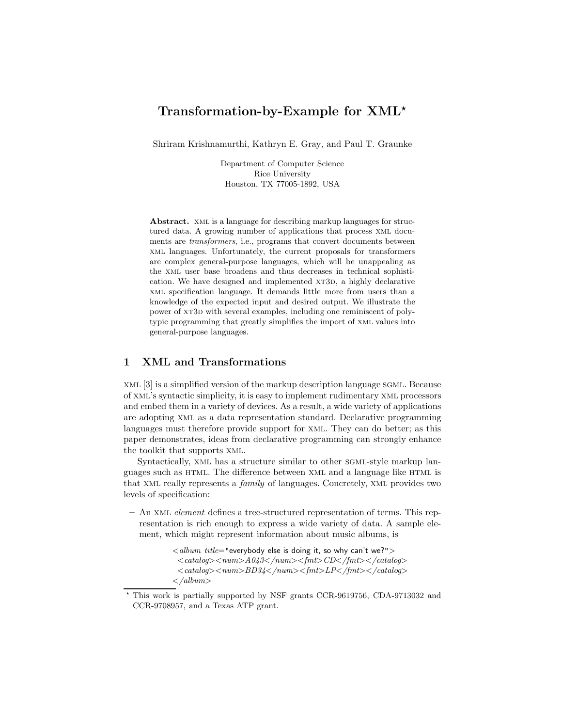# **Transformation-by-Example for XML***?*

Shriram Krishnamurthi, Kathryn E. Gray, and Paul T. Graunke

Department of Computer Science Rice University Houston, TX 77005-1892, USA

**Abstract.** xml is a language for describing markup languages for structured data. A growing number of applications that process xml documents are transformers, i.e., programs that convert documents between xml languages. Unfortunately, the current proposals for transformers are complex general-purpose languages, which will be unappealing as the xml user base broadens and thus decreases in technical sophistication. We have designed and implemented XT3D, a highly declarative xml specification language. It demands little more from users than a knowledge of the expected input and desired output. We illustrate the power of  $XT3D$  with several examples, including one reminiscent of polytypic programming that greatly simplifies the import of xml values into general-purpose languages.

#### **1 XML and Transformations**

xml [3] is a simplified version of the markup description language sgml. Because of xml's syntactic simplicity, it is easy to implement rudimentary xml processors and embed them in a variety of devices. As a result, a wide variety of applications are adopting xml as a data representation standard. Declarative programming languages must therefore provide support for xml. They can do better; as this paper demonstrates, ideas from declarative programming can strongly enhance the toolkit that supports xml.

Syntactically, xml has a structure similar to other sgml-style markup languages such as html. The difference between xml and a language like html is that xml really represents a *family* of languages. Concretely, xml provides two levels of specification:

**–** An xml *element* defines a tree-structured representation of terms. This representation is rich enough to express a wide variety of data. A sample element, which might represent information about music albums, is

> $\langle \text{subum title}$ ="everybody else is doing it, so why can't we?">  $\langle \textit{catalog}\rangle \langle \textit{num}\rangle A043 \langle \textit{/num}\rangle \langle \textit{fmt}\rangle \langle \textit{CD}\rangle / \langle \textit{fmt}\rangle \langle \textit{/catalog}\rangle$  $\langle \textit{catalog}\rangle \langle \textit{num}\rangle \textit{BD34}\langle \textit{/num}\rangle \langle \textit{fmt}\rangle \textit{LP}\langle \textit{/fmt}\rangle \langle \textit{/catalog}\rangle$  $\langle \angle$  album $>$

<sup>?</sup> This work is partially supported by NSF grants CCR-9619756, CDA-9713032 and CCR-9708957, and a Texas ATP grant.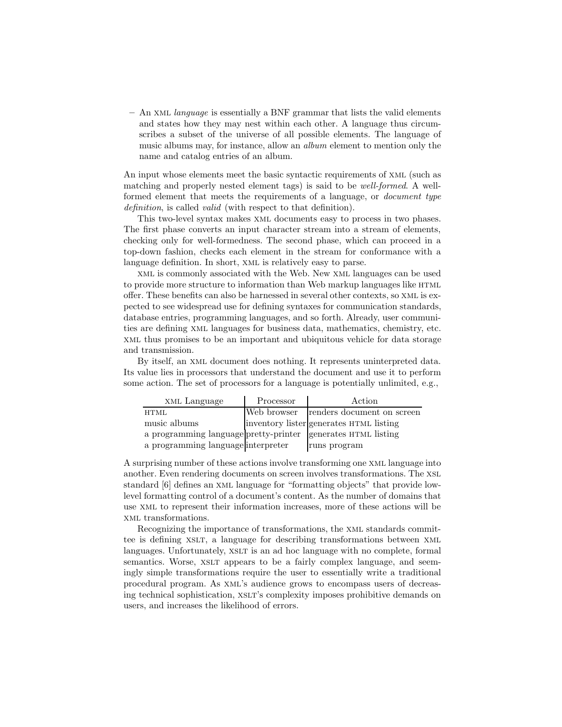**–** An xml *language* is essentially a BNF grammar that lists the valid elements and states how they may nest within each other. A language thus circumscribes a subset of the universe of all possible elements. The language of music albums may, for instance, allow an *album* element to mention only the name and catalog entries of an album.

An input whose elements meet the basic syntactic requirements of xml (such as matching and properly nested element tags) is said to be *well-formed*. A wellformed element that meets the requirements of a language, or *document type definition*, is called *valid* (with respect to that definition).

This two-level syntax makes xml documents easy to process in two phases. The first phase converts an input character stream into a stream of elements, checking only for well-formedness. The second phase, which can proceed in a top-down fashion, checks each element in the stream for conformance with a language definition. In short, xml is relatively easy to parse.

xml is commonly associated with the Web. New xml languages can be used to provide more structure to information than Web markup languages like html offer. These benefits can also be harnessed in several other contexts, so xml is expected to see widespread use for defining syntaxes for communication standards, database entries, programming languages, and so forth. Already, user communities are defining xml languages for business data, mathematics, chemistry, etc. xml thus promises to be an important and ubiquitous vehicle for data storage and transmission.

By itself, an xml document does nothing. It represents uninterpreted data. Its value lies in processors that understand the document and use it to perform some action. The set of processors for a language is potentially unlimited, e.g.,

| XML Language                                                 | Processor   | Action                                  |
|--------------------------------------------------------------|-------------|-----------------------------------------|
| HTML                                                         | Web browser | renders document on screen              |
| music albums                                                 |             | inventory lister generates HTML listing |
| a programming language pretty-printer generates HTML listing |             |                                         |
| a programming language interpreter                           |             | runs program                            |

A surprising number of these actions involve transforming one xml language into another. Even rendering documents on screen involves transformations. The xsl standard [6] defines an xml language for "formatting objects" that provide lowlevel formatting control of a document's content. As the number of domains that use xml to represent their information increases, more of these actions will be xml transformations.

Recognizing the importance of transformations, the xml standards committee is defining XSLT, a language for describing transformations between XML languages. Unfortunately, XSLT is an ad hoc language with no complete, formal semantics. Worse, XSLT appears to be a fairly complex language, and seemingly simple transformations require the user to essentially write a traditional procedural program. As xml's audience grows to encompass users of decreasing technical sophistication, XSLT's complexity imposes prohibitive demands on users, and increases the likelihood of errors.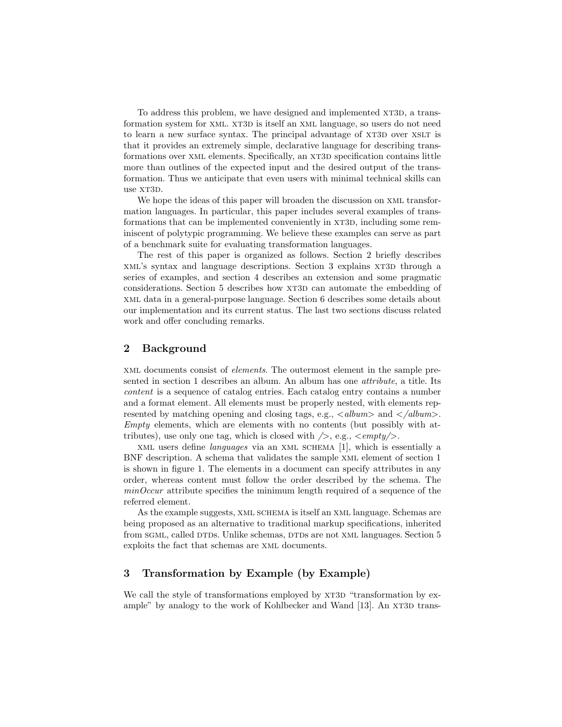To address this problem, we have designed and implemented XT3D, a transformation system for XML. XT3D is itself an XML language, so users do not need to learn a new surface syntax. The principal advantage of XT3D over XSLT is that it provides an extremely simple, declarative language for describing transformations over XML elements. Specifically, an XT3D specification contains little more than outlines of the expected input and the desired output of the transformation. Thus we anticipate that even users with minimal technical skills can use XT3D.

We hope the ideas of this paper will broaden the discussion on XML transformation languages. In particular, this paper includes several examples of transformations that can be implemented conveniently in XT3D, including some reminiscent of polytypic programming. We believe these examples can serve as part of a benchmark suite for evaluating transformation languages.

The rest of this paper is organized as follows. Section 2 briefly describes xml's syntax and language descriptions. Section 3 explains xt3d through a series of examples, and section 4 describes an extension and some pragmatic considerations. Section 5 describes how xt3D can automate the embedding of xml data in a general-purpose language. Section 6 describes some details about our implementation and its current status. The last two sections discuss related work and offer concluding remarks.

#### **2 Background**

xml documents consist of *elements*. The outermost element in the sample presented in section 1 describes an album. An album has one *attribute*, a title. Its *content* is a sequence of catalog entries. Each catalog entry contains a number and a format element. All elements must be properly nested, with elements represented by matching opening and closing tags, e.g., <*album*> and <*/album*>. *Empty* elements, which are elements with no contents (but possibly with attributes), use only one tag, which is closed with */*>, e.g., <*empty/*>.

xml users define *languages* via an xml schema [1], which is essentially a BNF description. A schema that validates the sample xml element of section 1 is shown in figure 1. The elements in a document can specify attributes in any order, whereas content must follow the order described by the schema. The *minOccur* attribute specifies the minimum length required of a sequence of the referred element.

As the example suggests, XML SCHEMA is itself an XML language. Schemas are being proposed as an alternative to traditional markup specifications, inherited from SGML, called DTDs. Unlike schemas, DTDs are not XML languages. Section 5 exploits the fact that schemas are xml documents.

## **3 Transformation by Example (by Example)**

We call the style of transformations employed by  $XT3D$  "transformation by example" by analogy to the work of Kohlbecker and Wand [13]. An XT3D trans-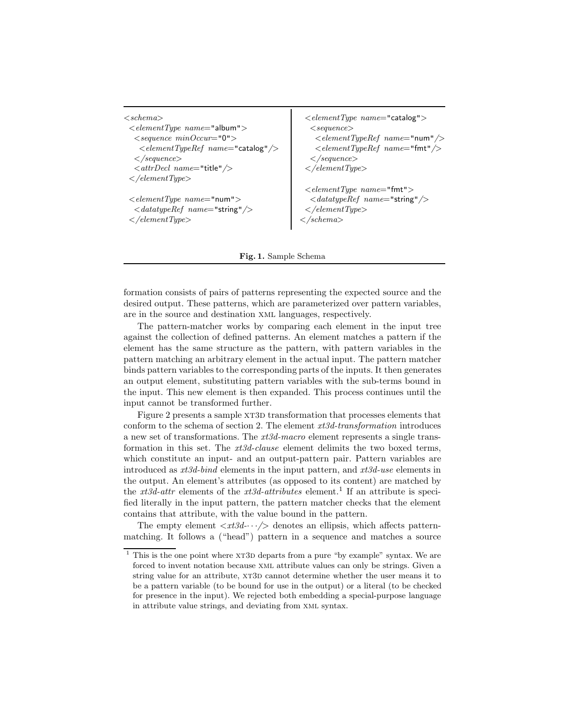```
\langleschema\rangle\leq elementType\ name="album"\leqsequence minOccur="0">
    \leqelementTypeRef name="catalog" \geq\langle/sequence\rangle\langle attrDecl name="title" \langle\langle/elementType>\leq elementType\ name="num"\langle datatypeRef name="string"/>
 \langleelementType\rangle\leq elementType\ name="catalog"\langle\mathit{sequence}\rangle\leqelementTypeRef name="num"/>\leqelementTypeRef name="fmt"/>\langle/sequence\rangle\langleelementType>\leq elementType\ name="fmt"\langle datatypeRef name="string"/>
                                                       \langleelementType></schema>
```
**Fig. 1.** Sample Schema

formation consists of pairs of patterns representing the expected source and the desired output. These patterns, which are parameterized over pattern variables, are in the source and destination xml languages, respectively.

The pattern-matcher works by comparing each element in the input tree against the collection of defined patterns. An element matches a pattern if the element has the same structure as the pattern, with pattern variables in the pattern matching an arbitrary element in the actual input. The pattern matcher binds pattern variables to the corresponding parts of the inputs. It then generates an output element, substituting pattern variables with the sub-terms bound in the input. This new element is then expanded. This process continues until the input cannot be transformed further.

Figure 2 presents a sample xt3d transformation that processes elements that conform to the schema of section 2. The element *xt3d-transformation* introduces a new set of transformations. The *xt3d-macro* element represents a single transformation in this set. The *xt3d-clause* element delimits the two boxed terms, which constitute an input- and an output-pattern pair. Pattern variables are introduced as *xt3d-bind* elements in the input pattern, and *xt3d-use* elements in the output. An element's attributes (as opposed to its content) are matched by the  $xt3d-attr$  elements of the  $xt3d-attributes$  element.<sup>1</sup> If an attribute is specified literally in the input pattern, the pattern matcher checks that the element contains that attribute, with the value bound in the pattern.

The empty element  $\langle x \cdot x \cdot y \rangle$  denotes an ellipsis, which affects patternmatching. It follows a ("head") pattern in a sequence and matches a source

 $1$  This is the one point where  $XT3D$  departs from a pure "by example" syntax. We are forced to invent notation because xml attribute values can only be strings. Given a string value for an attribute,  $xT3D$  cannot determine whether the user means it to be a pattern variable (to be bound for use in the output) or a literal (to be checked for presence in the input). We rejected both embedding a special-purpose language in attribute value strings, and deviating from xml syntax.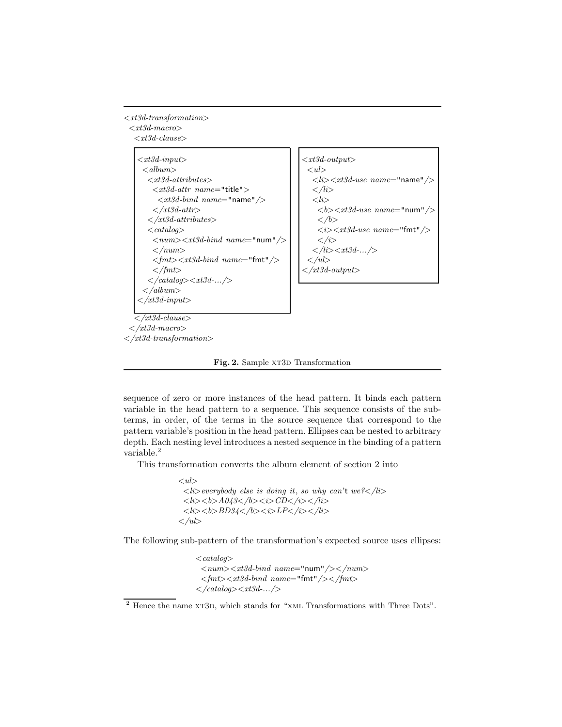

 $\langle \angle$ xt3d-clause $\rangle$  $\langle x t 3d$ -macro $\rangle$  $\langle x/xt3d\text{-}transformation\rangle$ 

Fig. 2. Sample XT3D Transformation

sequence of zero or more instances of the head pattern. It binds each pattern variable in the head pattern to a sequence. This sequence consists of the subterms, in order, of the terms in the source sequence that correspond to the pattern variable's position in the head pattern. Ellipses can be nested to arbitrary depth. Each nesting level introduces a nested sequence in the binding of a pattern variable.<sup>2</sup>

This transformation converts the album element of section 2 into

```
\langle ul \rangle\langleli\rangleeverybody else is doing it, so why can't we?\langleli\rangle\langle li \rangle \langle b \rangle A043 \langle /b \rangle \langle i \rangle CD \langle /i \rangle \langle /li \rangle\langle li \rangle \langle b \rangle BD34 \langle /b \rangle \langle i \rangle LP \langle i \rangle \langle li \rangle\langle \rangle
```
The following sub-pattern of the transformation's expected source uses ellipses:

 $\langle catalog \rangle$  $\langle \textit{num} \rangle \langle \textit{xt3d-bind name} = "num" / \rangle \langle \textit{num} \rangle$  $\langle fmt \rangle \langle xtd$ -bind name="fmt"/> $\langle fmt \rangle$  $\langle \text{Cataloq} \rangle \langle \text{xt3d} \dots \rangle$ 

 $^2$  Hence the name xT3D, which stands for "xML Transformations with Three Dots".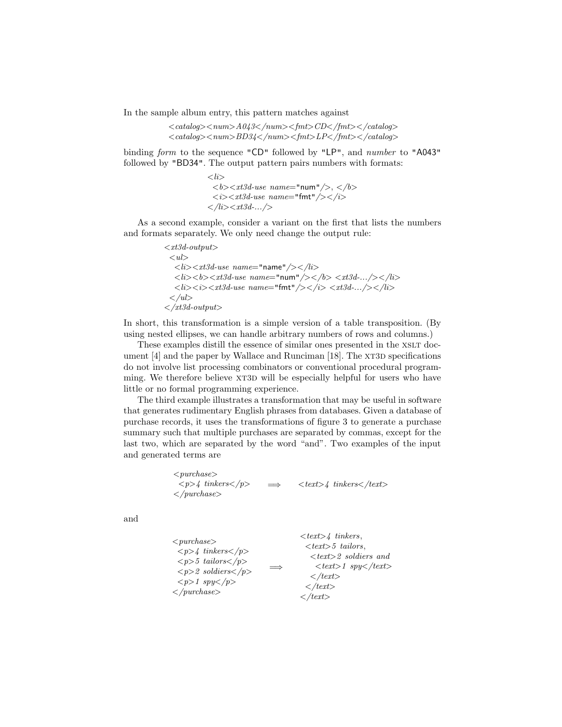In the sample album entry, this pattern matches against

 $\langle \text{catalog}\rangle \langle \text{num}\rangle A043\langle \text{/num}\rangle \langle \text{fmt}\rangle \langle \text{CD}\rangle / \langle \text{fmt}\rangle \langle \text{/catalog}\rangle$  $\langle \textit{catalog}\rangle \langle \textit{num}\rangle \textit{BD34}\langle \textit{/num}\rangle \langle \textit{fmt}\rangle \textit{LP}\langle \textit{/fmt}\rangle \langle \textit{/catalog}\rangle$ 

binding *form* to the sequence "CD" followed by "LP", and *number* to "A043" followed by "BD34". The output pattern pairs numbers with formats:

> $-$  $$  $\langle i \rangle \langle x t 3d$ -use name="fmt"/> $\langle i \rangle$  $\langle \sqrt{2} i \rangle \langle x t 3 d \cdots \rangle$

As a second example, consider a variant on the first that lists the numbers and formats separately. We only need change the output rule:

```
\langle x t 3d-output\rangle<\!\!ul\!\!>\langle 1 \rangle \langle 1 \rangle \langle 1 \rangle \langle 1 \rangle as name="name"\langle \text{1} z \rangle \langle \text{1} z \rangle \langle \text{1} z \rangle \langle \text{1} z \rangle as \text{1} \times \text{1} \times \text{1} \times \text{1} \times \text{1} \times \text{1} \times \text{1} \times \text{1} \times \text{1} \times \text{1} \times \text{1} \times \text{1} \times \text{1} \times \text{1} \times \text{1} \times \text{1} \times \text{1} \times \text{1} \times \text{1} \times \text{1} \times \text{1} \times \text{1} \times \text{1} \times \text{1} \times \text{1} \\langle \text{11} \rangle \langle \text{12} \rangle \langle \text{13} \rangle \langle \text{13} \rangle ase name="fmt"/>\langle \text{12} \rangle \langle \text{13} \rangle \langle \text{11} \rangle\langle \rangle\langle x t 3d-output\rangle
```
In short, this transformation is a simple version of a table transposition. (By using nested ellipses, we can handle arbitrary numbers of rows and columns.)

These examples distill the essence of similar ones presented in the XSLT document  $[4]$  and the paper by Wallace and Runciman  $[18]$ . The XT3D specifications do not involve list processing combinators or conventional procedural programming. We therefore believe XT3D will be especially helpful for users who have little or no formal programming experience.

The third example illustrates a transformation that may be useful in software that generates rudimentary English phrases from databases. Given a database of purchase records, it uses the transformations of figure 3 to generate a purchase summary such that multiple purchases are separated by commas, except for the last two, which are separated by the word "and". Two examples of the input and generated terms are

| $\langle purehase \rangle$                        |            |                                                                                  |  |
|---------------------------------------------------|------------|----------------------------------------------------------------------------------|--|
| $\langle p \rangle$ 4 tinkers $\langle p \rangle$ | $\implies$ | $\langle \text{text} \rangle$ $\downarrow$ tinkers $\langle \text{text} \rangle$ |  |
| $\langle$ /purchase>                              |            |                                                                                  |  |

and

```
<purchase>p>4 tinkersp>p>\langle p \rangle tailors \langle p \ranglep>2 soldiersp>p>2< p > 1 spy< p > 1</purchase>
                                              =⇒
                                                            \langle \text{text} \rangle \downarrow tinkers,
                                                             \langle \text{text} > 5 \text{ tailors}, \rangle<text>2 soldiers and
                                                                  \langle \text{text} > 1 \text{ spy}\langle \text{text}\rangle\langle \text{1} \rangle\langle \text{1} \rangle\langle \text{1} \rangle
```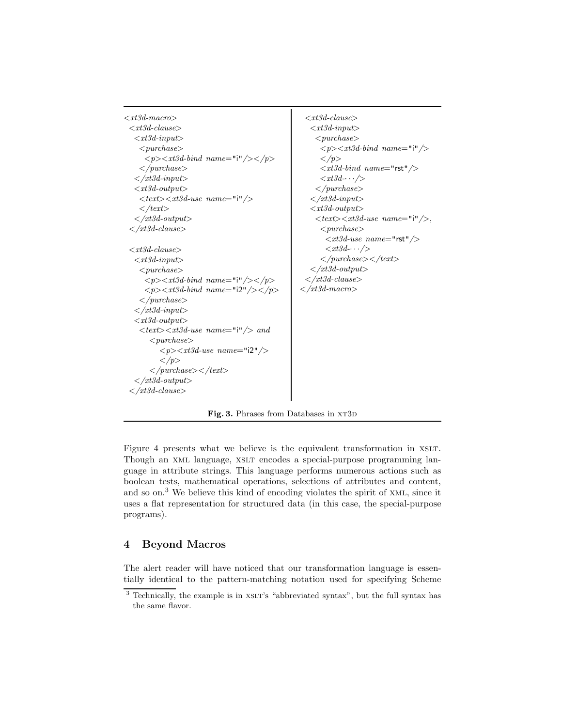

Fig. 3. Phrases from Databases in XT3D

Figure 4 presents what we believe is the equivalent transformation in XSLT. Though an XML language, XSLT encodes a special-purpose programming language in attribute strings. This language performs numerous actions such as boolean tests, mathematical operations, selections of attributes and content, and so on.<sup>3</sup> We believe this kind of encoding violates the spirit of xml, since it uses a flat representation for structured data (in this case, the special-purpose programs).

## **4 Beyond Macros**

The alert reader will have noticed that our transformation language is essentially identical to the pattern-matching notation used for specifying Scheme

 $3$  Technically, the example is in  $XSLT$ 's "abbreviated syntax", but the full syntax has the same flavor.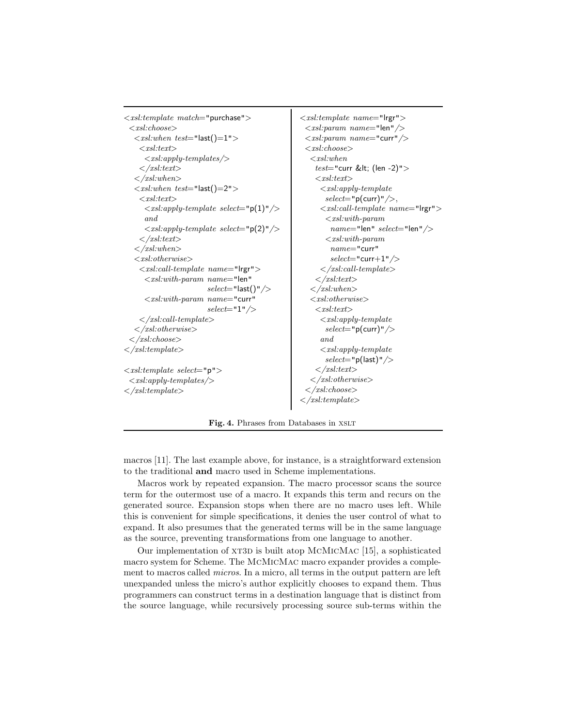```
\langle xsl:template \; match = "purehase" \rangle\langle xsl:choose \rangle\langle xsl:when \ test = "last() = 1" \rangle\langle xsl:text\rangle\langle xsl:apply\text{-}templates/\rangle\langle /xsl:text\rangle\langle xsl: when \rangle<xsl:when test="last()=2">
      \langle xsl:text\rangle\langle xsl:apply\text{-}template \ select="p(1)"/\rangleand
        \langle xsl:apply\text{-}template \ select="p(2)"\rangle\langle xsl:text\rangle\langle xsl: when \rangle\langle xsl:otherwise\rangle\langle xsl:call-template \ name="lrgr" \rangle\langle xsl:with\text{-}param name="len"
                                   select="last()"\langle xsl:with\text{-}param \ name="curr"select="1"\langle xsl:call-template \rangle\langle xsl:otherwise\rangle\langle xsl:choose\rangle\langle xsl:template \rangle\langle xsl:template \; select = "p" \rangle\langle xsl:apply\text{-}templates/\rangle\langle xsl:template \rangle\langle xsl: whenand
```

```
\langle xsl:template \ name="lrrr" \rangle\langle xsl:param name="len"\langle \rangle\langle xsl:param name="curr"\langle \rangle\langle xsl:choose\rangletest="text{curr } \<lt; (len -2)">
     <xsl:text>\langle xsl:apply\text{-}templateselect="p(curr)"/>,\langle xsl:call\text{-}template \ name="lrrr" \rangle\langle xsl:with\text{-}paramname="len" select="len"\langle xsl:with\text{-}paramname="cur"select="curr+1"\langle xsl:call-template \rangle\langle xsl:text\rangle\langle xsl: when \rangle<xsl:otherwise>\langle xsl:text \rangle\langle xsl:apply\text{-}templateselect="p(curr)"/>\langle xsl:apply\text{-}templateselect="p(\textsf{last})"\langle xsl:text\rangle\langle xsl:otherwise\rangle\langle xsl:choose\rangle\langle xsl:template \rangle
```
Fig. 4. Phrases from Databases in XSLT

macros [11]. The last example above, for instance, is a straightforward extension to the traditional **and** macro used in Scheme implementations.

Macros work by repeated expansion. The macro processor scans the source term for the outermost use of a macro. It expands this term and recurs on the generated source. Expansion stops when there are no macro uses left. While this is convenient for simple specifications, it denies the user control of what to expand. It also presumes that the generated terms will be in the same language as the source, preventing transformations from one language to another.

Our implementation of XT3D is built atop McMICMAC [15], a sophisticated macro system for Scheme. The McMicMac macro expander provides a complement to macros called *micros*. In a micro, all terms in the output pattern are left unexpanded unless the micro's author explicitly chooses to expand them. Thus programmers can construct terms in a destination language that is distinct from the source language, while recursively processing source sub-terms within the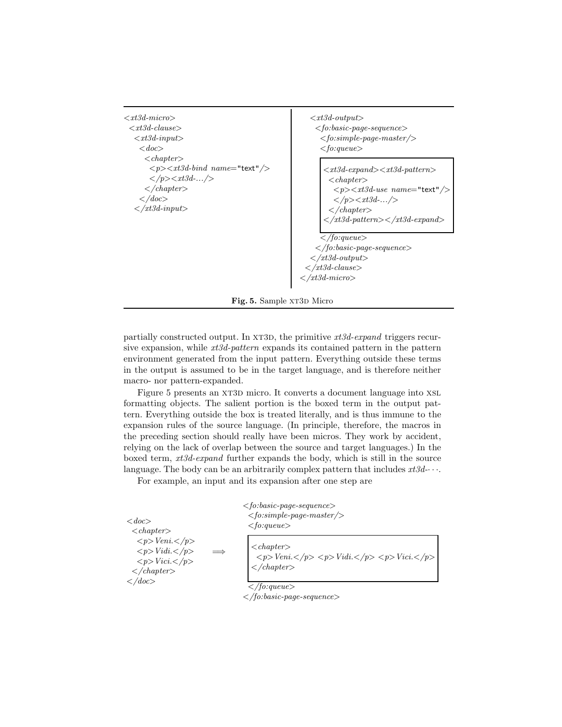```
\langle x t 3d-micro\rangle\langle xt3d-clause\rangle\langle x t 3d-input\rangle<doc>\langlechapter>\langle p \rangle \langle x t 3d-bind name="text"/>
            \langle p \rangle \langle x t 3 d \rangle ... \langle p \rangle\langle/chapter>
       \langle /doc>
     \langle \angle x t 3d-input\rangle
```


Fig. 5. Sample XT3D Micro

partially constructed output. In XT3D, the primitive  $xt3d$ -expand triggers recursive expansion, while *xt3d-pattern* expands its contained pattern in the pattern environment generated from the input pattern. Everything outside these terms in the output is assumed to be in the target language, and is therefore neither macro- nor pattern-expanded.

Figure 5 presents an XT3D micro. It converts a document language into XSL formatting objects. The salient portion is the boxed term in the output pattern. Everything outside the box is treated literally, and is thus immune to the expansion rules of the source language. (In principle, therefore, the macros in the preceding section should really have been micros. They work by accident, relying on the lack of overlap between the source and target languages.) In the boxed term, *xt3d-expand* further expands the body, which is still in the source language. The body can be an arbitrarily complex pattern that includes *xt3d-*···.

For example, an input and its expansion after one step are

```
<doc>\langlechapter><br>Y<sub>p</sub> > Veni.<p><\!\!p\!\!>Vidi.<\!\!/p\!\!><\!\!p\!\!>Vici.<\!\!/p\!\!>\langle/chapter>
\langledoc>=⇒
```


</fo:queue>  $\langle$  /fo:basic-page-sequence>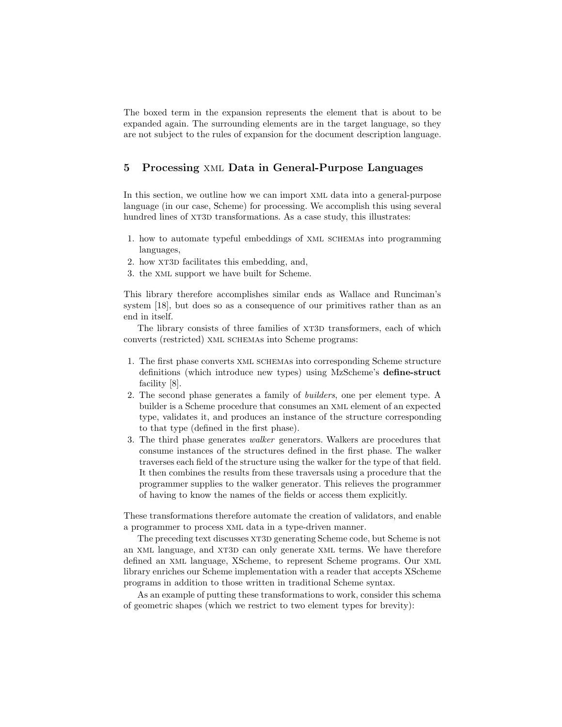The boxed term in the expansion represents the element that is about to be expanded again. The surrounding elements are in the target language, so they are not subject to the rules of expansion for the document description language.

## **5 Processing** xml **Data in General-Purpose Languages**

In this section, we outline how we can import xml data into a general-purpose language (in our case, Scheme) for processing. We accomplish this using several hundred lines of XT3D transformations. As a case study, this illustrates:

- 1. how to automate typeful embeddings of xml schemas into programming languages,
- 2. how XT3D facilitates this embedding, and,
- 3. the xml support we have built for Scheme.

This library therefore accomplishes similar ends as Wallace and Runciman's system [18], but does so as a consequence of our primitives rather than as an end in itself.

The library consists of three families of XT3D transformers, each of which converts (restricted) xml schemas into Scheme programs:

- 1. The first phase converts xml schemas into corresponding Scheme structure definitions (which introduce new types) using MzScheme's **define-struct** facility [8].
- 2. The second phase generates a family of *builders*, one per element type. A builder is a Scheme procedure that consumes an xml element of an expected type, validates it, and produces an instance of the structure corresponding to that type (defined in the first phase).
- 3. The third phase generates *walker* generators. Walkers are procedures that consume instances of the structures defined in the first phase. The walker traverses each field of the structure using the walker for the type of that field. It then combines the results from these traversals using a procedure that the programmer supplies to the walker generator. This relieves the programmer of having to know the names of the fields or access them explicitly.

These transformations therefore automate the creation of validators, and enable a programmer to process xml data in a type-driven manner.

The preceding text discusses xt3d generating Scheme code, but Scheme is not an xml language, and xt3d can only generate xml terms. We have therefore defined an xml language, XScheme, to represent Scheme programs. Our xml library enriches our Scheme implementation with a reader that accepts XScheme programs in addition to those written in traditional Scheme syntax.

As an example of putting these transformations to work, consider this schema of geometric shapes (which we restrict to two element types for brevity):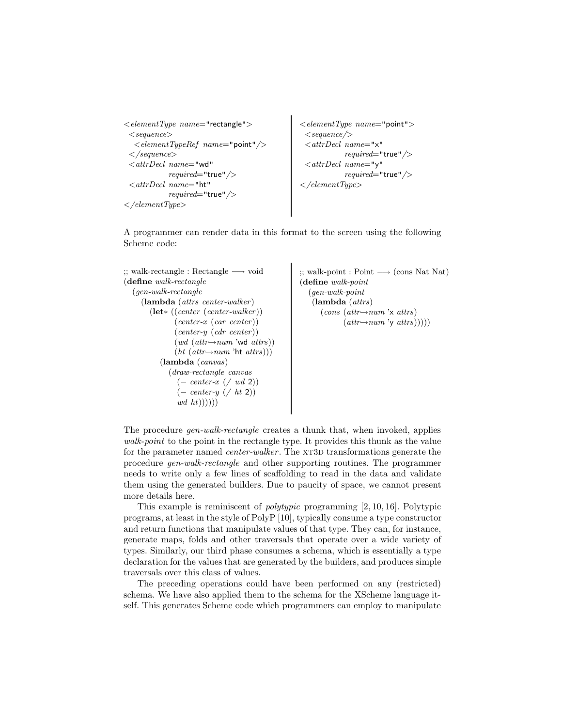```
\leq elementType\ name="rectangle"\langle sequence \rangle\leqelementTypeRef name="point"/>
 \langle/sequence\rangle\lt{attrDecl} name="wd"
             required="true"/\langle attrDecl name="ht"
             required="true"/>
\langleelementType>\leq elementType\ name="point"\langle \textit{sequence} \rangle\lt{attrDecl} name="x"
                                                                   required="true" /\lt{attrDecl} name="y"
                                                                  required="true"/\langleelementType>
```
A programmer can render data in this format to the screen using the following Scheme code:

```
;; walk-rectangle : Rectangle → void
(define walk-rectangle
  (gen-walk-rectangle
     (lambda (attrs center-walker )
        (let∗ ((center (center-walker))
                 (center-x (car center))
                 (center-y (cdr center))
                 (wd (attr \rightarrow num 'wd attrs))(ht (attr \rightarrow num 'ht (attr))
            (lambda (canvas)
               (draw-rectangle canvas
                 (- center-x (\text{}/ wd 2))
                  ( – \emph{center-y} (\textit{/ ht 2}))wd(h(t))))))\gamma;; walk-point : Point \longrightarrow (cons Nat Nat)
                                                           (define walk-point
                                                              (gen-walk-point
                                                               (lambda (attrs)
                                                                  (cons (attr\rightarrow num \; 'x \; attrs))(\textit{attr}\rightarrow \textit{num} \text{ 'y } \textit{attrs}))))
```
The procedure *gen-walk-rectangle* creates a thunk that, when invoked, applies *walk-point* to the point in the rectangle type. It provides this thunk as the value for the parameter named *center-walker*. The xt3D transformations generate the procedure *gen-walk-rectangle* and other supporting routines. The programmer needs to write only a few lines of scaffolding to read in the data and validate them using the generated builders. Due to paucity of space, we cannot present more details here.

This example is reminiscent of *polytypic* programming [2, 10, 16]. Polytypic programs, at least in the style of PolyP [10], typically consume a type constructor and return functions that manipulate values of that type. They can, for instance, generate maps, folds and other traversals that operate over a wide variety of types. Similarly, our third phase consumes a schema, which is essentially a type declaration for the values that are generated by the builders, and produces simple traversals over this class of values.

The preceding operations could have been performed on any (restricted) schema. We have also applied them to the schema for the XScheme language itself. This generates Scheme code which programmers can employ to manipulate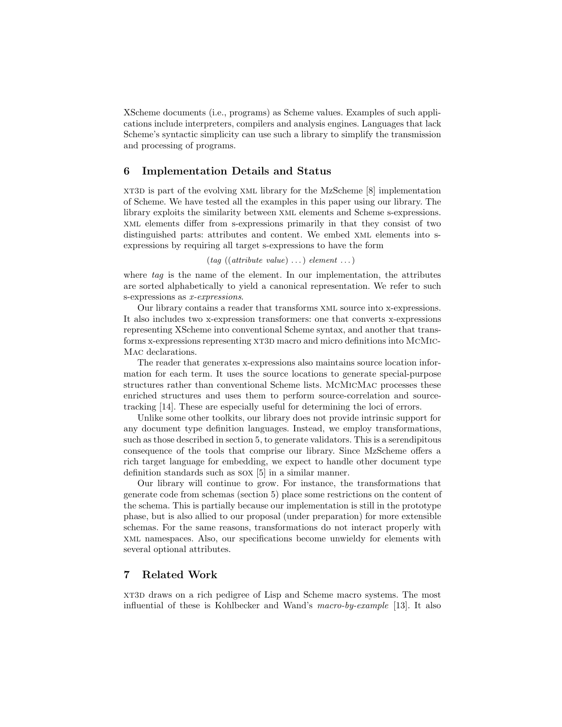XScheme documents (i.e., programs) as Scheme values. Examples of such applications include interpreters, compilers and analysis engines. Languages that lack Scheme's syntactic simplicity can use such a library to simplify the transmission and processing of programs.

### **6 Implementation Details and Status**

xt3d is part of the evolving xml library for the MzScheme [8] implementation of Scheme. We have tested all the examples in this paper using our library. The library exploits the similarity between xml elements and Scheme s-expressions. xml elements differ from s-expressions primarily in that they consist of two distinguished parts: attributes and content. We embed xml elements into sexpressions by requiring all target s-expressions to have the form

 $(taq \ ( (attribute \ value) \dots) \ element \dots)$ 

where *tag* is the name of the element. In our implementation, the attributes are sorted alphabetically to yield a canonical representation. We refer to such s-expressions as *x-expressions*.

Our library contains a reader that transforms xml source into x-expressions. It also includes two x-expression transformers: one that converts x-expressions representing XScheme into conventional Scheme syntax, and another that transforms x-expressions representing xt3d macro and micro definitions into McMic-Mac declarations.

The reader that generates x-expressions also maintains source location information for each term. It uses the source locations to generate special-purpose structures rather than conventional Scheme lists. McMicMac processes these enriched structures and uses them to perform source-correlation and sourcetracking [14]. These are especially useful for determining the loci of errors.

Unlike some other toolkits, our library does not provide intrinsic support for any document type definition languages. Instead, we employ transformations, such as those described in section 5, to generate validators. This is a serendipitous consequence of the tools that comprise our library. Since MzScheme offers a rich target language for embedding, we expect to handle other document type definition standards such as sox [5] in a similar manner.

Our library will continue to grow. For instance, the transformations that generate code from schemas (section 5) place some restrictions on the content of the schema. This is partially because our implementation is still in the prototype phase, but is also allied to our proposal (under preparation) for more extensible schemas. For the same reasons, transformations do not interact properly with xml namespaces. Also, our specifications become unwieldy for elements with several optional attributes.

## **7 Related Work**

xt3d draws on a rich pedigree of Lisp and Scheme macro systems. The most influential of these is Kohlbecker and Wand's *macro-by-example* [13]. It also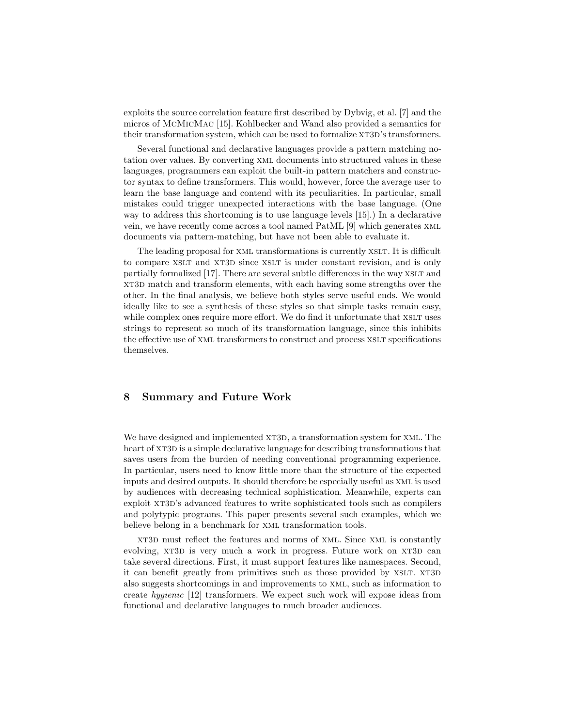exploits the source correlation feature first described by Dybvig, et al. [7] and the micros of McMicMac [15]. Kohlbecker and Wand also provided a semantics for their transformation system, which can be used to formalize  $XT3D's$  transformers.

Several functional and declarative languages provide a pattern matching notation over values. By converting xml documents into structured values in these languages, programmers can exploit the built-in pattern matchers and constructor syntax to define transformers. This would, however, force the average user to learn the base language and contend with its peculiarities. In particular, small mistakes could trigger unexpected interactions with the base language. (One way to address this shortcoming is to use language levels [15].) In a declarative vein, we have recently come across a tool named PatML [9] which generates xml documents via pattern-matching, but have not been able to evaluate it.

The leading proposal for XML transformations is currently XSLT. It is difficult to compare XSLT and XT3D since XSLT is under constant revision, and is only partially formalized [17]. There are several subtle differences in the way XSLT and xt3d match and transform elements, with each having some strengths over the other. In the final analysis, we believe both styles serve useful ends. We would ideally like to see a synthesis of these styles so that simple tasks remain easy, while complex ones require more effort. We do find it unfortunate that XSLT uses strings to represent so much of its transformation language, since this inhibits the effective use of XML transformers to construct and process XSLT specifications themselves.

#### **8 Summary and Future Work**

We have designed and implemented XT3D, a transformation system for XML. The heart of XT3D is a simple declarative language for describing transformations that saves users from the burden of needing conventional programming experience. In particular, users need to know little more than the structure of the expected inputs and desired outputs. It should therefore be especially useful as xml is used by audiences with decreasing technical sophistication. Meanwhile, experts can exploit xt3d's advanced features to write sophisticated tools such as compilers and polytypic programs. This paper presents several such examples, which we believe belong in a benchmark for xml transformation tools.

xt3d must reflect the features and norms of xml. Since xml is constantly evolving, XT3D is very much a work in progress. Future work on XT3D can take several directions. First, it must support features like namespaces. Second, it can benefit greatly from primitives such as those provided by XSLT. XT3D also suggests shortcomings in and improvements to xml, such as information to create *hygienic* [12] transformers. We expect such work will expose ideas from functional and declarative languages to much broader audiences.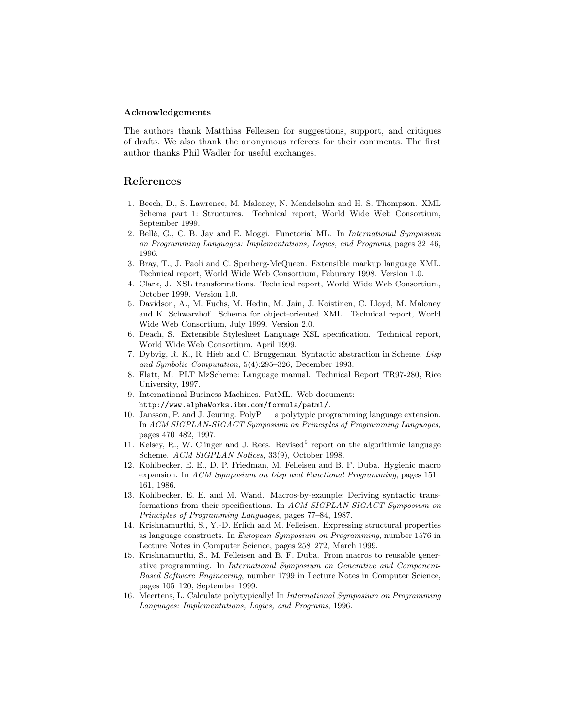#### **Acknowledgements**

The authors thank Matthias Felleisen for suggestions, support, and critiques of drafts. We also thank the anonymous referees for their comments. The first author thanks Phil Wadler for useful exchanges.

### **References**

- 1. Beech, D., S. Lawrence, M. Maloney, N. Mendelsohn and H. S. Thompson. XML Schema part 1: Structures. Technical report, World Wide Web Consortium, September 1999.
- 2. Bellé, G., C. B. Jay and E. Moggi. Functorial ML. In International Symposium on Programming Languages: Implementations, Logics, and Programs, pages 32–46, 1996.
- 3. Bray, T., J. Paoli and C. Sperberg-McQueen. Extensible markup language XML. Technical report, World Wide Web Consortium, Feburary 1998. Version 1.0.
- 4. Clark, J. XSL transformations. Technical report, World Wide Web Consortium, October 1999. Version 1.0.
- 5. Davidson, A., M. Fuchs, M. Hedin, M. Jain, J. Koistinen, C. Lloyd, M. Maloney and K. Schwarzhof. Schema for object-oriented XML. Technical report, World Wide Web Consortium, July 1999. Version 2.0.
- 6. Deach, S. Extensible Stylesheet Language XSL specification. Technical report, World Wide Web Consortium, April 1999.
- 7. Dybvig, R. K., R. Hieb and C. Bruggeman. Syntactic abstraction in Scheme. Lisp and Symbolic Computation, 5(4):295–326, December 1993.
- 8. Flatt, M. PLT MzScheme: Language manual. Technical Report TR97-280, Rice University, 1997.
- 9. International Business Machines. PatML. Web document: http://www.alphaWorks.ibm.com/formula/patml/.
- 10. Jansson, P. and J. Jeuring. PolyP a polytypic programming language extension. In ACM SIGPLAN-SIGACT Symposium on Principles of Programming Languages, pages 470–482, 1997.
- 11. Kelsey, R., W. Clinger and J. Rees. Revised<sup>5</sup> report on the algorithmic language Scheme. ACM SIGPLAN Notices, 33(9), October 1998.
- 12. Kohlbecker, E. E., D. P. Friedman, M. Felleisen and B. F. Duba. Hygienic macro expansion. In ACM Symposium on Lisp and Functional Programming, pages 151– 161, 1986.
- 13. Kohlbecker, E. E. and M. Wand. Macros-by-example: Deriving syntactic transformations from their specifications. In ACM SIGPLAN-SIGACT Symposium on Principles of Programming Languages, pages 77–84, 1987.
- 14. Krishnamurthi, S., Y.-D. Erlich and M. Felleisen. Expressing structural properties as language constructs. In European Symposium on Programming, number 1576 in Lecture Notes in Computer Science, pages 258–272, March 1999.
- 15. Krishnamurthi, S., M. Felleisen and B. F. Duba. From macros to reusable generative programming. In International Symposium on Generative and Component-Based Software Engineering, number 1799 in Lecture Notes in Computer Science, pages 105–120, September 1999.
- 16. Meertens, L. Calculate polytypically! In International Symposium on Programming Languages: Implementations, Logics, and Programs, 1996.